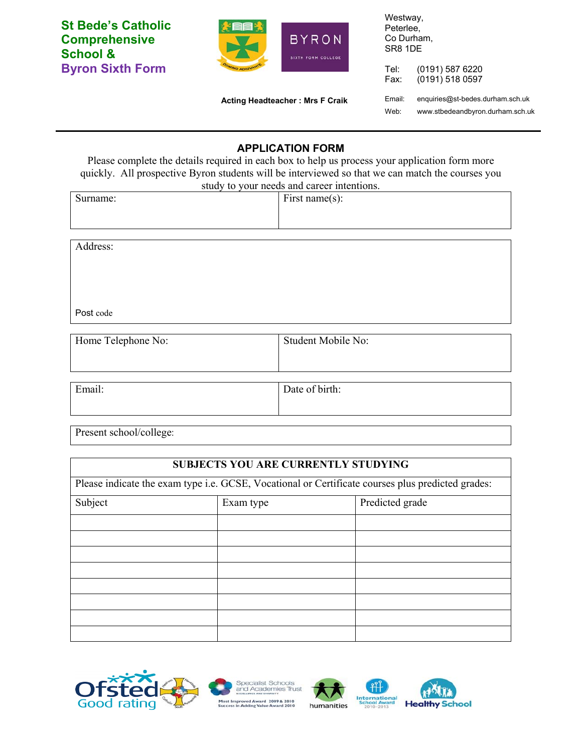**St Bede's Catholic Comprehensive School & Byron Sixth Form** 



Westway, Peterlee, Co Durham, SR8 1DE

Tel: (0191) 587 6220 Fax: (0191) 518 0597

 **Acting Headteacher : Mrs F Craik** 

Email: enquiries@st-bedes.durham.sch.uk Web: www.stbedeandbyron.durham.sch.uk

## **APPLICATION FORM**

Please complete the details required in each box to help us process your application form more quickly. All prospective Byron students will be interviewed so that we can match the courses you study to your needs and career intentions.

| study to your fields and early michtions. |                    |  |
|-------------------------------------------|--------------------|--|
| Surname:                                  | First name $(s)$ : |  |
|                                           |                    |  |
|                                           |                    |  |

Address:

Post code

| Home Telephone No: | Student Mobile No: |  |
|--------------------|--------------------|--|
|                    |                    |  |
|                    |                    |  |
| Email:             | Date of birth:     |  |

Present school/college:

| <b>SUBJECTS YOU ARE CURRENTLY STUDYING</b><br>Please indicate the exam type i.e. GCSE, Vocational or Certificate courses plus predicted grades: |  |  |  |
|-------------------------------------------------------------------------------------------------------------------------------------------------|--|--|--|
|                                                                                                                                                 |  |  |  |
|                                                                                                                                                 |  |  |  |
|                                                                                                                                                 |  |  |  |
|                                                                                                                                                 |  |  |  |
|                                                                                                                                                 |  |  |  |
|                                                                                                                                                 |  |  |  |
|                                                                                                                                                 |  |  |  |
|                                                                                                                                                 |  |  |  |
|                                                                                                                                                 |  |  |  |